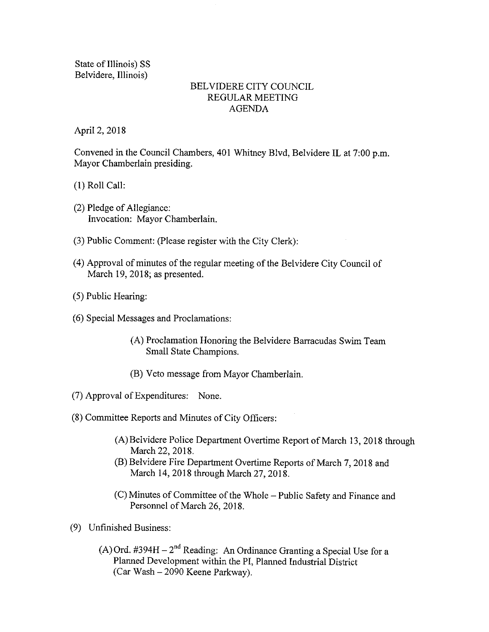State of Illinois) SS Belvidere, Illinois)

#### BELVIDERE CITY COUNCIL REGULAR MEETING AGENDA

April 2, 2018

Convened in the Council Chambers, 401 Whitney Blvd, Belvidere IL at 7:00 p.m. Mayor Chamberlain presiding.

1) Roll Call:

- $(2)$  Pledge of Allegiance: Invocation: Mayor Chamberlain.
- 3) Public Comment: ( Please register with the City Clerk):
- 4) Approval of minutes of the regular meeting of the Belvidere City Council of March 19, 2018; as presented.
- 5) Public Hearing:
- 6) Special Messages and Proclamations:
	- A) Proclamation Honoring the Belvidere Barracudas Swim Team Small State Champions.
	- B) Veto message from Mayor Chamberlain.
- 7) Approval of Expenditures: None.
- 8) Committee Reports and Minutes of City Officers:
	- A) Belvidere Police Department Overtime Report of March 13, 2018 through March 22, 2018.
	- B) Belvidere Fire Department Overtime Reports of March 7, 2018 and March 14, 2018 through March 27, 2018.
	- C) Minutes of Committee of the Whole— Public Safety and Finance and Personnel of March 26, 2018.
- 9) Unfinished Business:
	- A) Ord. #394H  $-2<sup>nd</sup>$  Reading: An Ordinance Granting a Special Use for a Planned Development within the PI, Planned Industrial District Car Wash— 2090 Keene Parkway).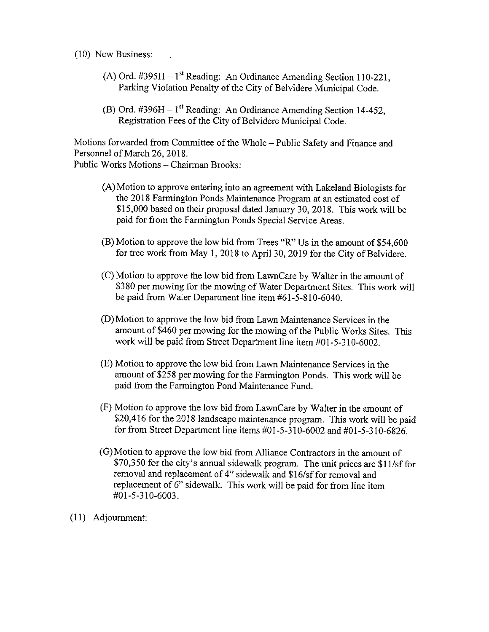10) New Business:

- A) Ord.  $\text{\#395H} 1^{\text{st}}$  Reading: An Ordinance Amending Section 110-221 Parking Violation Penalty of the City of Belvidere Municipal Code.
- (B) Ord.  $\#396H 1$ <sup>st</sup> Reading: An Ordinance Amending Section 14-452, Registration Fees of the City of Belvidere Municipal Code.

Motions forwarded from Committee of the Whole— Public Safety and Finance and Personnel of March 26, 2018.

Public Works Motions— Chairman Brooks:

- A) Motion to approve entering into an agreement with Lakeland Biologists for the 2018 Farmington Ponds Maintenance Program at an estimated cost of 15, 000 based on their proposal dated January 30, 2018. This work will be paid for from the Farmington Ponds Special Service Areas.
- $(B)$  Motion to approve the low bid from Trees "R" Us in the amount of \$54,600 for tree work from May 1, 2018 to April 30, 2019 for the City of Belvidere.
- C) Motion to approve the low bid from LawnCare by Walter in the amount of 380 per mowing for the mowing of Water Department Sites. This work will be paid from Water Department line item #61-5-810-6040.
- D) Motion to approve the low bid from Lawn Maintenance Services in the amount of \$460 per mowing for the mowing of the Public Works Sites. This work will be paid from Street Department line item #01-5-310-6002.
- E) Motion to approve the low bid from Lawn Maintenance Services in the amount of \$258 per mowing for the Farmington Ponds. This work will be paid from the Farmington Pond Maintenance Fund.
- F) Motion to approve the low bid from LawnCare by Walter in the amount of 20, 416 for the 2018 landscape maintenance program. This work will be paid for from Street Department line items  $\#01 - 5 - 310 - 6002$  and  $\#01 - 5 - 310 - 6826$ .
- G) Motion to approve the low bid from Alliance Contractors in the amount of \$70,350 for the city's annual sidewalk program. The unit prices are \$11/sf for removal and replacement of 4" sidewalk and \$16/sf for removal and replacement of 6" sidewalk. This work will be paid for from line item  $#01 - 5 - 310 - 6003.$
- 11) Adjournment: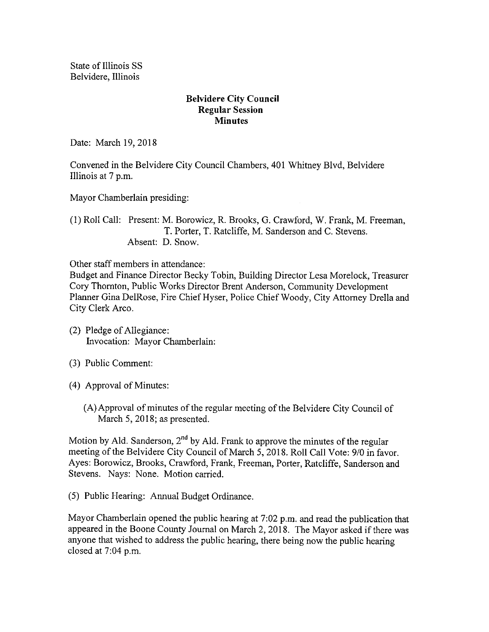State of Illinois SS Belvidere, Illinois

#### Belvidere City Council Regular Session **Minutes**

Date: March 19, 2018

Convened in the Belvidere City Council Chambers, 401 Whitney Blvd, Belvidere Illinois at 7 p.m.

Mayor Chamberlain presiding:

1) Roll Call: Present: M. Borowicz, R. Brooks, G. Crawford, W. Frank, M. Freeman, T. Porter, T. Ratcliffe, M. Sanderson and C. Stevens. Absent: D. Snow.

Other staff members in attendance:

Budget and Finance Director Becky Tobin, Building Director Lesa Morelock, Treasurer Cory Thornton, Public Works Director Brent Anderson, Community Development Planner Gina DelRose, Fire Chief Hyser, Police Chief Woody, City Attorney Drella and City Clerk Arco.

- 2) Pledge of Allegiance: Invocation: Mayor Chamberlain:
- 3) Public Comment:
- 4) Approval of Minutes:
	- A) Approval of minutes of the regular meeting of the Belvidere City Council of March 5, 2018; as presented.

Motion by Ald. Sanderson,  $2<sup>nd</sup>$  by Ald. Frank to approve the minutes of the regular meeting of the Belvidere City Council of March 5, 2018. Roll Call Vote: 9/0 in favor. Ayes: Borowicz, Brooks, Crawford, Frank, Freeman, Porter, Ratcliffe, Sanderson and Stevens. Nays: None. Motion carried.

5) Public Hearing: Annual Budget Ordinance.

Mayor Chamberlain opened the public hearing at 7:02 p.m. and read the publication that appeared in the Boone County Journal on March 2, 2018. The Mayor asked if there was anyone that wished to address the public hearing, there being now the public hearing closed at  $7:04$  p.m.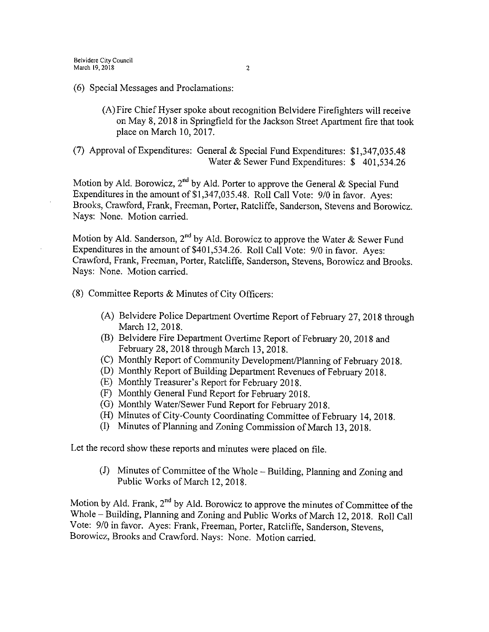- 6) Special Messages and Proclamations:
	- A) Fire Chief Hyser spoke about recognition Belvidere Firefighters will receive on May 8, 2018 in Springfield for the Jackson Street Apartment fire that took place on March 10, 2017.
- (7) Approval of Expenditures: General & Special Fund Expenditures: \$1,347,035.48 Water  $&$  Sewer Fund Expenditures: \$ 401,534.26

Motion by Ald. Borowicz, 2<sup>nd</sup> by Ald. Porter to approve the General & Special Fund Expenditures in the amount of \$1,347,035.48. Roll Call Vote: 9/0 in favor. Ayes: Brooks, Crawford, Frank, Freeman, Porter, Ratcliffe, Sanderson, Stevens and Borowicz. Nays: None. Motion carried.

Motion by Ald. Sanderson, 2<sup>nd</sup> by Ald. Borowicz to approve the Water & Sewer Fund Expenditures in the amount of \$401, 534. 26. Roll Call Vote: 9/0 in favor. Ayes: Crawford, Frank, Freeman, Porter, Ratcliffe, Sanderson, Stevens, Borowicz and Brooks. Nays: None. Motion carried.

8) Committee Reports & Minutes of City Officers:

- A) Belvidere Police Department Overtime Report of February 27, 2018 through March 12, 2018.
- B) Belvidere Fire Department Overtime Report of February 20, 2018 and February 28, 2018 through March 13, 2018.
- (C) Monthly Report of Community Development/Planning of February 2018.
- D) Monthly Report of Building Department Revenues of February 2018.
- E) Monthly Treasurer' <sup>s</sup> Report for February 2018.
- F) Monthly General Fund Report for February 2018.
- G) Monthly Water/Sewer Fund Report for February 2018.
- (H) Minutes of City-County Coordinating Committee of February 14, 2018.
- I) Minutes of Planning and Zoning Commission of March 13, 2018.

Let the record show these reports and minutes were placed on file.

J) Minutes of Committee of the Whole —Building, Planning and Zoning and Public Works of March 12, 2018.

Motion by Ald. Frank, 2<sup>nd</sup> by Ald. Borowicz to approve the minutes of Committee of the Whole— Building, Planning and Zoning and Public Works of March 12, 2018. Roll Call Vote: 9/0 in favor. Ayes: Frank, Freeman, Porter, Ratcliffe, Sanderson, Stevens, Borowicz, Brooks and Crawford. Nays: None. Motion carried.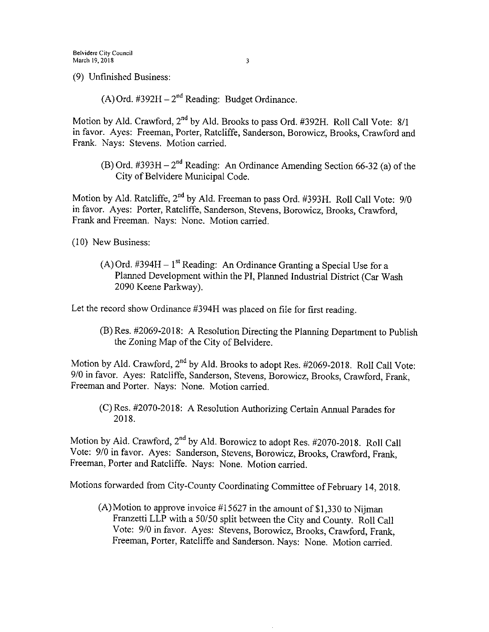9) Unfinished Business:

 $(A)$  Ord. #392H –  $2<sup>nd</sup>$  Reading: Budget Ordinance.

Motion by Ald. Crawford, 2<sup>nd</sup> by Ald. Brooks to pass Ord. #392H. Roll Call Vote: 8/1 in favor. Ayes: Freeman, Porter, Ratcliffe, Sanderson, Borowicz, Brooks, Crawford and Frank. Nays: Stevens. Motion carried.

(B) Ord.  $\#393H - 2^{nd}$  Reading: An Ordinance Amending Section 66-32 (a) of the City of Belvidere Municipal Code.

Motion by Ald. Ratcliffe, 2<sup>nd</sup> by Ald. Freeman to pass Ord. #393H. Roll Call Vote: 9/0 in favor. Ayes: Porter, Ratcliffe, Sanderson, Stevens, Borowicz, Brooks, Crawford, Frank and Freeman. Nays: None. Motion carried.

10) New Business:

 $(A)$  Ord. #394H – 1<sup>st</sup> Reading: An Ordinance Granting a Special Use for a Planned Development within the PI, Planned Industrial District( Car Wash 2090 Keene Parkway).

Let the record show Ordinance #394H was placed on file for first reading.

(B) Res. #2069-2018: A Resolution Directing the Planning Department to Publish the Zoning Map of the City of Belvidere.

Motion by Ald. Crawford, 2<sup>nd</sup> by Ald. Brooks to adopt Res. #2069-2018. Roll Call Vote: 9/0 in favor. Ayes: Ratcliffe, Sanderson, Stevens, Borowicz, Brooks, Crawford, Frank, Freeman and Porter. Nays: None. Motion carried.

(C) Res. #2070-2018: A Resolution Authorizing Certain Annual Parades for 2018.

Motion by Ald. Crawford, 2<sup>nd</sup> by Ald. Borowicz to adopt Res. #2070-2018. Roll Call Vote: 9/0 in favor. Ayes: Sanderson, Stevens, Borowicz, Brooks, Crawford, Frank, Freeman, Porter and Ratcliffe. Nays: None. Motion carried.

Motions forwarded from City-County Coordinating Committee of February 14, 2018.

(A) Motion to approve invoice  $#15627$  in the amount of \$1,330 to Nijman Franzetti LLP with a 50/50 split between the City and County. Roll Call Vote: 9/0 in favor. Ayes: Stevens, Borowicz, Brooks, Crawford, Frank, Freeman, Porter, Ratcliffe and Sanderson. Nays: None. Motion carried.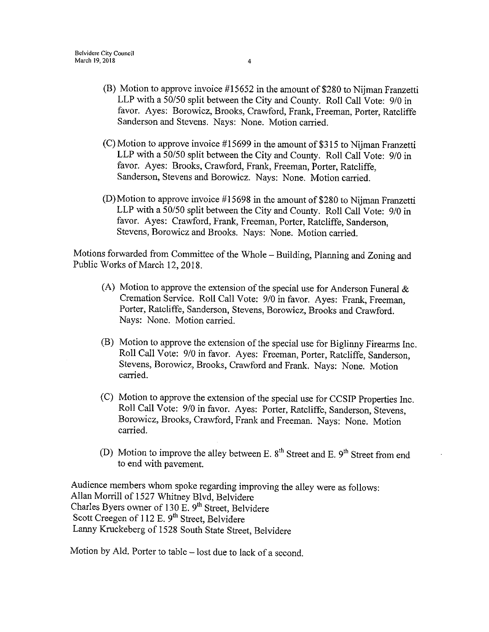- (B) Motion to approve invoice  $#15652$  in the amount of \$280 to Nijman Franzetti LLP with a 50/50 split between the City and County. Roll Call Vote: 9/0 in favor. Ayes: Borowicz, Brooks, Crawford, Frank, Freeman, Porter, Ratcliffe Sanderson and Stevens. Nays: None. Motion carried.
- $(C)$  Motion to approve invoice #15699 in the amount of \$315 to Nijman Franzetti LLP with a 50/50 split between the City and County. Roll Call Vote: 9/0 in favor. Ayes: Brooks, Crawford, Frank, Freeman, Porter, Ratcliffe, Sanderson, Stevens and Borowicz. Nays: None. Motion carried.
- $(D)$  Motion to approve invoice #15698 in the amount of \$280 to Nijman Franzetti LLP with a 50/50 split between the City and County. Roll Call Vote: 9/0 in favor. Ayes: Crawford, Frank, Freeman, Porter, Ratcliffe, Sanderson, Stevens, Borowicz and Brooks. Nays: None. Motion carried.

Motions forwarded from Committee of the Whole— Building, Planning and Zoning and Public Works of March 12, 2018.

- (A) Motion to approve the extension of the special use for Anderson Funeral  $\&$ Cremation Service. Roll Call Vote: 9/0 in favor. Ayes: Frank, Freeman, Porter, Ratcliffe, Sanderson, Stevens, Borowicz, Brooks and Crawford. Nays: None. Motion carried.
- B) Motion to approve the extension of the special use for Biglinny Firearms Inc. Roll Call Vote: 9/0 in favor. Ayes: Freeman, Porter, Ratcliffe, Sanderson, Stevens, Borowicz, Brooks, Crawford and Frank. Nays: None. Motion carried.
- C) Motion to approve the extension of the special use for CCSIP Properties Inc. Roll Call Vote: 9/0 in favor. Ayes: Porter, Ratcliffe, Sanderson, Stevens, Borowicz, Brooks, Crawford, Frank and Freeman. Nays: None. Motion carried.
- (D) Motion to improve the alley between E.  $8<sup>th</sup>$  Street and E.  $9<sup>th</sup>$  Street from end to end with pavement.

Audience members whom spoke regarding improving the alley were as follows: Allan Morrill of 1527 Whitney Blvd, Belvidere Charles Byers owner of 130 E. 9<sup>th</sup> Street, Belvidere Scott Creegen of 112 E. 9<sup>th</sup> Street, Belvidere Lanny Kruckeberg of 1528 South State Street, Belvidere

Motion by Ald. Porter to table— lost due to lack of <sup>a</sup> second.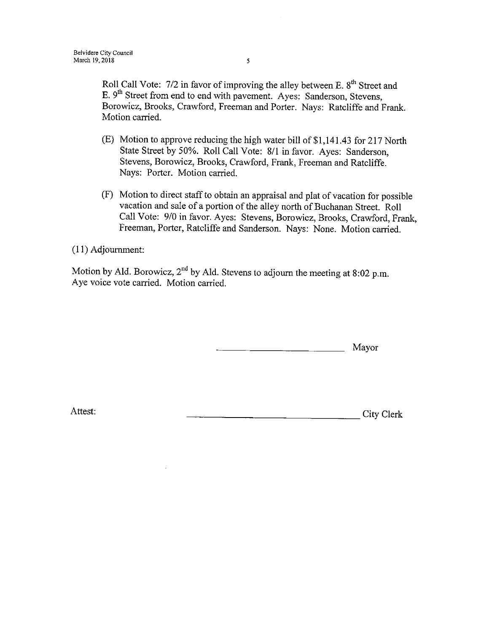Roll Call Vote: 7/2 in favor of improving the alley between E. 8<sup>th</sup> Street and E. 9<sup>th</sup> Street from end to end with pavement. Ayes: Sanderson, Stevens, Borowicz, Brooks, Crawford, Freeman and Porter. Nays: Ratcliffe and Frank. Motion carried.

- E) Motion to approve reducing the high water bill of\$ 1, 141. 43 for 217 North State Street by 50%. Roll Call Vote: 8/1 in favor. Ayes: Sanderson, Stevens, Borowicz, Brooks, Crawford, Frank, Freeman and Ratcliffe. Nays: Porter. Motion carried.
- F) Motion to direct staff to obtain an appraisal and plat of vacation for possible vacation and sale of <sup>a</sup> portion of the alley north of Buchanan Street. Roll Call Vote: 9/0 in favor. Ayes: Stevens, Borowicz, Brooks, Crawford, Frank, Freeman, Porter, Ratcliffe and Sanderson. Nays: None. Motion carried.

11) Adjournment:

Motion by Ald. Borowicz,  $2^{nd}$  by Ald. Stevens to adjourn the meeting at 8:02 p.m. Aye voice vote carried. Motion carried.

Mayor

Attest: City Clerk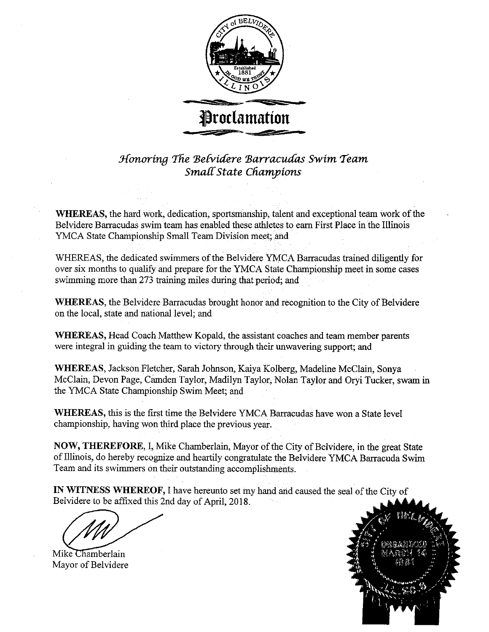

Honoring the Belvidere Barracudas Swim Team Small State Champions

WHEREAS, the hard work, dedication, sportsmanship, talent and exceptional team work of the Belvidere Barracudas swim team has enabled these athletes to earn First Place in the Illinois YMCA State Championship Small Team Division meet; and

WHEREAS, the dedicated swimmers of the Belvidere YMCA Barracudas trained diligently for over six months to qualify and prepare for the YMCA State Championship meet in some cases swimming more than 273 training miles during that period; and

WHEREAS, the Belvidere Barracudas brought honor and recognition to the City of Belvidere on the local, state and national level; and

WHEREAS, Head Coach Matthew Kopald, the assistant coaches and team member parents were integral in guiding the team to victory through their unwavering support; and

WHEREAS, Jackson Fletcher, Sarah Johnson, Kaiya Kolberg, Madeline McClain, Sonya McClain, Devon Page, Camden Taylor, Madilyn Taylor; Nolan Taylor and Oryi Tucker, swam in the YMCA State Championship Swim Meet; and

WHEREAS, this is the first time the Belvidere YMCA Barracudas have won a State level championship, having won third place the previous year.

NOW, THEREFORE, I, Mike Chamberlain, Mayor of the City of Belvidere, in the great State of Illinois, do hereby recognize and heartily congratulate the Belvidere YMCA Barracuda Swim Team and its swimmers on their outstanding accomplishments.

IN WITNESS WHEREOF, I have hereunto set my hand and caused the seal of the City of Belvidere to be affixed this 2nd day of April, 2018.

Mike Chamberlain Mayor of Belvidere

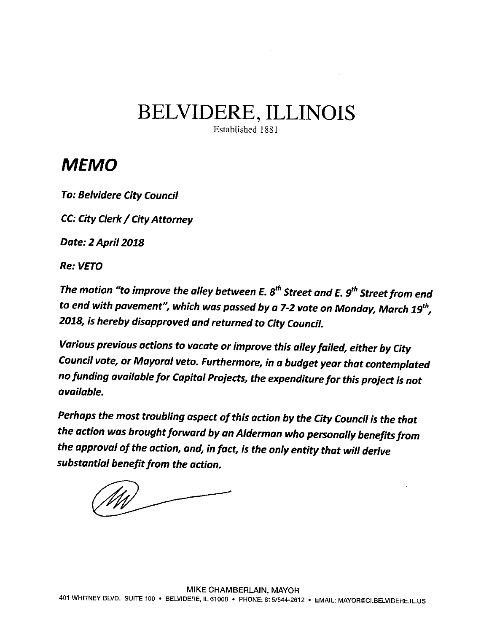## BELVIDERE, ILLINOIS

Established 1881

## MEMO

To: Belvidere City Council

CC: City Clerk/ City Attorney

Date: 2 April 2018

Re: VETO

The motion "to improve the alley between E.  $\mathcal{S}^{th}$  Street and E.  $\mathcal{G}^{th}$  Street from end to end with pavement", which was passed by a 7-2 vote on Monday, March  $19^{th}$ , 2018, is hereby disapproved and returned to City Council.

Various previous actions to vacate or improve this alley failed, either by City Council vote, or Mayoral veto. Furthermore, in a budget year that contemplated no funding available for Capital Projects, the expenditure forthis project is not available.

Perhaps the most troubling aspect of this action by the City Council is the that the action was brought forward by an Alderman who personally benefits from the approval of the action, and, in fact, is the only entity that will derive substantial benefit from the action.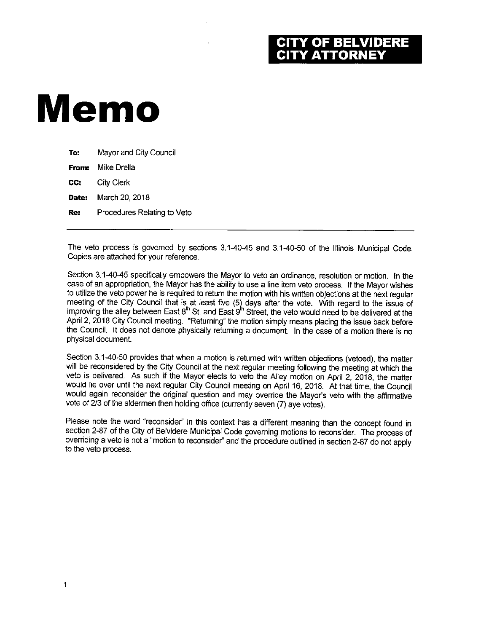### OF BELVIDERE **Y ATTORNEY**

# Memo

| To:   | Mayor and City Council      |
|-------|-----------------------------|
| From: | Mike Drella                 |
| CC.   | City Clerk                  |
| Date: | March 20, 2018              |
| Re:   | Procedures Relating to Veto |
|       |                             |

The veto process is governed by sections 3.1-40-45 and 3.1-40-50 of the Illinois Municipal Code. Copies are attached for your reference.

Section 3.1-40-45 specifically empowers the Mayor to veto an ordinance, resolution or motion. In the case of an appropriation, the Mayor has the ability to use a line item veto process. If the Mayor wishes to utilize the veto power he is required to return the motion with his written objections at the next regular meeting of the City Council that is at least five (5) days after the vote. With regard to the issue of improving the alley between East 8"' St. and East 9"' Street, the veto would need to be delivered at the April 2, 2018 City Council meeting. " Returning" the motion simply means placing the issue back before the Council. It does not denote physically returning a document. In the case of a motion there is no physical document.

Section 3.1-40-50 provides that when a motion is returned with written objections (vetoed), the matter will be reconsidered by the City Council at the next regular meeting following the meeting at which the veto is delivered. As such if the Mayor elects to veto the Alley motion on April 2, 2018, the matter would lie over until the next regular City Council meeting on April 16, 2018. At that time, the Council would again reconsider the original question and may override the Mayor's veto with the affirmative vote of 2/3 of the aldermen then holding office (currently seven (7) aye votes).

Please note the word "reconsider" in this context has a different meaning than the concept found in section 2-87 of the City of Belvidere Municipal Code governing motions to reconsider. The process of overriding a veto is not a" motion to reconsider' and the procedure outlined in section 2-87 do not apply to the veto process.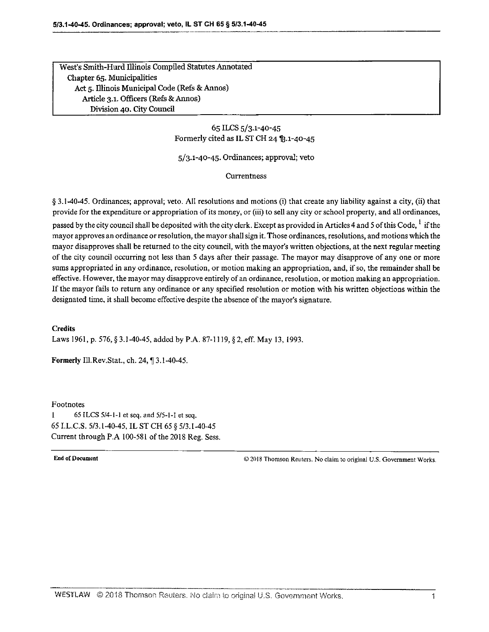West's Smith-Hurd Illinois Compiled Statutes Annotated Chapter 65. Municipalities Act 5. Illinois Municipal Code( Refs& Annos) Article 3.1. Officers (Refs & Annos) Division 40. City Council

> 65 ILCS 5/ 3. 1- 40-45 Formerly cited as IL ST CH 24  $$3.1-40-45$

 $5/3.1$ -40-45. Ordinances; approval; veto

#### Currentness

§ 3.1-40-45. Ordinances; approval; veto. All resolutions and motions (i) that create any liability against a city, (ii) that provide for the expenditure or appropriation of its money, or (iii) to sell any city or school property, and all ordinances,

passed by the city council shall be deposited with the city clerk. Except as provided in Articles 4 and 5 of this Code. <sup>1</sup> if the mayor approves an ordinance or resolution, the mayor shall sign it. Those ordinances, resolutions, and motions which the mayor disapproves shall be returned to the city council, with the mayor's written objections, at the next regular meeting of the city council occurring not less than <sup>5</sup> days after their passage. The mayor may disapprove of any one or more sums appropriated in any ordinance, resolution, or motion making an appropriation, and, if so, the remainder shall be effective. However, the mayor may disapprove entirely of an ordinance, resolution, or motion making an appropriation. If the mayor fails to return any ordinance or any specified resolution or motion with his written objections within the designated time, it shall become effective despite the absence of the mayor's signature.

#### **Credits**

Laws 1961, p. 576, § 3.1-40-45, added by P.A. 87-1119, § 2, eff. May 13, 1993.

Formerly Ill. Rev. Stat., ch. 24, ¶ 3.1-40-45.

#### Footnotes

1 65 ILCS  $5/4$ -1-1 et seq. and  $5/5$ -1-1 et seq. 65 I.L.C.S. 5/3.1-40-45, IL ST CH 65 § 5/3.1-40-45 Current through P.A 100-581 of the 2018 Reg. Sess.

End of Document 2018 Thomson Reuters. No claim to original U.S. Government Works.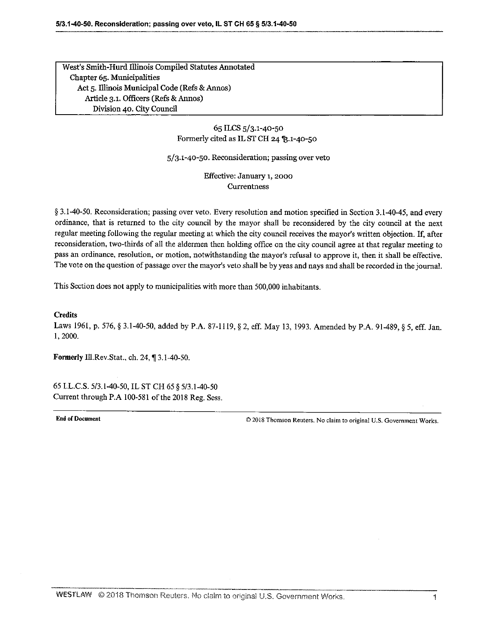West's Smith-Hurd Illinois Compiled Statutes Annotated Chapter 65. Municipalities Act 5. Illinois Municipal Code (Refs & Annos) Article 3.1. Officers (Refs & Annos) Division 40. City Council

> 65 ILCS 5/3.1-40-50 Formerly cited as IL ST CH 24  $$3.1-40-50$

5/ 3. 1- 40-50. Reconsideration; passing over veto

Effective: January 1, 2000 **Currentness** 

§ 3.1-40-50. Reconsideration; passing over veto. Every resolution and motion specified in Section 3.1-40-45, and every ordinance, that is returned to the city council by the mayor shall be reconsidered by the city council at the next regular meeting following the regular meeting at which the city council receives the mayor's written objection. If, after reconsideration, two- thirds of all the aldermen then holding office on the city council agree at that regular meeting to pass an ordinance, resolution, or motion, notwithstanding the mayor's refusal to approve it, then it shall be effective. The vote on the question of passage over the mayor's veto shall be by yeas and nays and shall be recorded in the journal.

This Section does not apply to municipalities with more than 500, 000 inhabitants.

**Credits** 

Laws 1961, p. 576, § 3.1-40-50, added by P.A. 87-1119, § 2, eff. May 13, 1993. Amended by P.A. 91-489, § 5, eff. Jan. 1, 2000.

Formerly Ill.Rev.Stat., ch. 24, ¶ 3.1-40-50.

65 I.L.C.S. 5/3.1-40-50, IL ST CH 65 § 5/3.1-40-50 Current through P.A 100-581 of the 2018 Reg. Sess.

End of Document 2018 Thomson Reuters. No claim to original U.S. Government Works.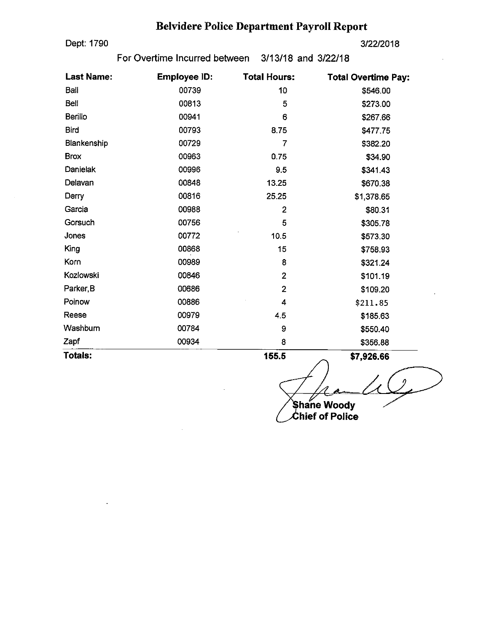## Belvidere Police Department Payroll Report

Dept: 1790 3/22/2018

For Overtime Incurred between 3/13/18 and 3/22/18

| <b>Last Name:</b> | <b>Employee ID:</b> | <b>Total Hours:</b> | <b>Total Overtime Pay:</b> |
|-------------------|---------------------|---------------------|----------------------------|
| Ball              | 00739               | 10                  | \$546.00                   |
| Bell              | 00813               | 5                   | \$273.00                   |
| <b>Berillo</b>    | 00941               | 6                   | \$267.66                   |
| <b>Bird</b>       | 00793               | 8.75                | \$477.75                   |
| Blankenship       | 00729               | 7                   | \$382.20                   |
| <b>Brox</b>       | 00963               | 0.75                | \$34.90                    |
| Danielak          | 00996               | 9.5                 | \$341.43                   |
| Delavan           | 00848               | 13.25               | \$670.38                   |
| Derry             | 00816               | 25.25               | \$1,378.65                 |
| Garcia            | 00988               | $\overline{2}$      | \$80.31                    |
| Gorsuch           | 00756               | 5                   | \$305.78                   |
| Jones             | 00772               | 10.5                | \$573.30                   |
| King              | 00868               | 15                  | \$758.93                   |
| Korn              | 00989               | 8                   | \$321.24                   |
| Kozlowski         | 00846               | $\overline{2}$      | \$101.19                   |
| Parker, B         | 00686               | $\overline{2}$      | \$109.20                   |
| Polnow            | 00886               | 4                   | \$211.85                   |
| Reese             | 00979               | 4.5                 | \$185.63                   |
| Washburn          | 00784               | 9                   | \$550.40                   |
| Zapf              | 00934               | 8                   | \$356.88                   |
| Totals:           |                     | 155.5               | \$7,926,66                 |

Shane Woody<br>Chief of Polic hief of Police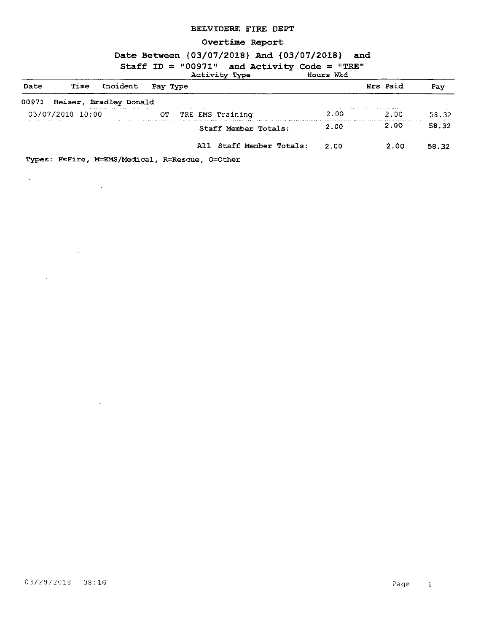#### BELVIDERE FIRE DEPT

#### Overtime Report

#### Date Between { 03/ 07/ 2018} And { 03/ 07/ 2018 } and

| Staff ID = "00971" and Activity Code = "TRE"<br>Activity Type<br>Hours Wkd |                  |                              |                          |      |          |       |
|----------------------------------------------------------------------------|------------------|------------------------------|--------------------------|------|----------|-------|
| Date                                                                       | Time             | Incident                     | Pay Type                 |      | Hrs Paid | Pay   |
|                                                                            |                  | 00971 Heiser, Bradley Donald |                          |      |          |       |
|                                                                            | 03/07/2018 10:00 |                              | OT.<br>TRE EMS Training  | 2.00 | -2.00    | 58.32 |
| and the state of the state of the                                          |                  |                              | Staff Member Totals:     | 2.00 | 2.00     | 58.32 |
|                                                                            |                  |                              | All Staff Member Totals: | 2.00 | 2.00     | 58.32 |

Types: F=Fire, M=EMS/Medical, R=Rescue, O=Other

 $\mathcal{L}^{\text{max}}_{\text{max}}$ 

 $\mathcal{L}^{\text{max}}_{\text{max}}$ 

 $\mathcal{L}^{\text{max}}_{\text{max}}$ 

 $\sim 10^{-11}$ 

 $\mathcal{L}^{\pm}$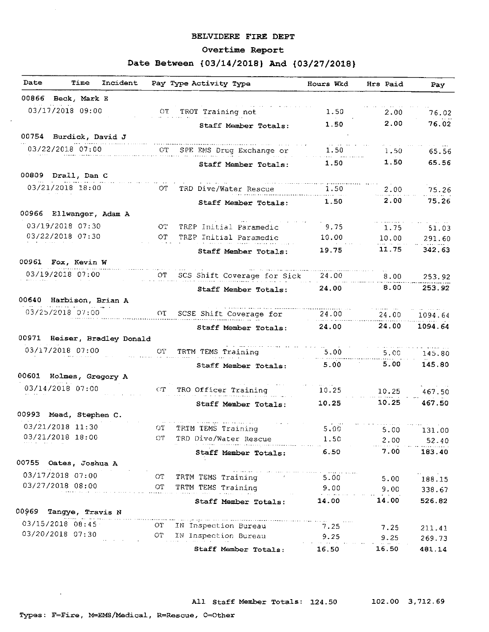#### BELVIDERE FIRE DEPT

#### Overtime Report

#### Date Between { 03/14/2018} And { 03/27/2018 }

| Date | Time<br>Incident             | Pay Type Activity Type                                                                                                                                     | Hours Wkd                | Hrs Paid | Pay            |
|------|------------------------------|------------------------------------------------------------------------------------------------------------------------------------------------------------|--------------------------|----------|----------------|
|      | 00866 Beck, Mark E           |                                                                                                                                                            |                          |          |                |
|      | 03/17/2018 09:00             | TROT Training not<br>OT -                                                                                                                                  | 1.50                     | 2.00     | 76.02          |
|      |                              | Staff Member Totals:                                                                                                                                       | 1.50                     | 2.00     | 76.02          |
|      | 00754 Burdick, David J       |                                                                                                                                                            |                          |          |                |
|      | 03/22/2018 07:00             | $\mathrm{CT}^-$<br>SPE EMS Drug Exchange or                                                                                                                | 1.50                     | 1.50     | 65.56          |
|      |                              | Staff Member Totals:                                                                                                                                       | 1.50                     | 1.50     | 65.56          |
|      | 00809 Drall, Dan C           |                                                                                                                                                            |                          |          |                |
|      | 03/21/2018 18:00             | OT.<br>TRD Dive/Water Rescue                                                                                                                               | 1.50                     | 2.00     | 75.26          |
|      |                              | Staff Member Totals:                                                                                                                                       | 1.50                     | 2.00     | 75.26          |
|      | 00966 Ellwanger, Adam A      |                                                                                                                                                            |                          |          |                |
|      | 03/19/2018 07:30             | OT.<br>TREP Initial Paramedic                                                                                                                              | 9.75                     | 1.75     | 51.03          |
|      | 03/22/2018 07:30             | OT.<br>TREP Initial Paramedic                                                                                                                              | 10.00                    | 10.00    | 291.60         |
|      |                              | Staff Member Totals:                                                                                                                                       | 19.75                    | 11.75    | 342.63         |
|      | 00961 Fox, Kevin W           |                                                                                                                                                            |                          |          |                |
|      | 03/19/2018 07:00             | OT.<br>SCS Shift Coverage for Sick                                                                                                                         | 24.00                    | 8,00     | 253.92         |
|      |                              | <b>Staff Member Totals:</b>                                                                                                                                | 24,00                    | 8.00     | 253.92         |
|      | 00640 Harbison, Brian A      |                                                                                                                                                            |                          |          |                |
|      | 03/25/2018 07:00             | OT<br>SCSE Shift Coverage for                                                                                                                              | 24.00                    | 24.00    | 1094.64        |
|      |                              | Staff Member Totals:                                                                                                                                       | 24.00                    | 24.00    | 1094.64        |
|      | 00971 Heiser, Bradley Donald |                                                                                                                                                            |                          |          |                |
|      | 03/17/2018 07:00             | OT.<br>TRTM TEMS Training                                                                                                                                  | 5.00                     | 5.00     | 145.80         |
|      |                              | Staff Member Totals:                                                                                                                                       | 5.00                     | 5.00     | 145.80         |
|      | 00601 Holmes, Gregory A      |                                                                                                                                                            |                          |          |                |
|      | 03/14/2018 07:00             | CT<br>TRO Officer Training                                                                                                                                 | 10.25                    | 10.25    | 467.50         |
|      |                              | Staff Member Totals:                                                                                                                                       | 10.25                    | 10.25    | 467.50         |
|      | 00993 Mead, Stephen C.       |                                                                                                                                                            |                          |          |                |
|      | 03/21/2018 11:30             | ОT<br>TRTM TEMS Training                                                                                                                                   | 5.00                     | 5.00     | 131.00         |
|      | 03/21/2018 18:00             | CT TRD Dive/Water Rescue                                                                                                                                   | 1.50                     |          | $2.00$ $52.40$ |
|      |                              | Staff Member Totals:                                                                                                                                       | en avenada en la<br>6.50 | 7.00     | 183.40         |
|      | 00755 Oates, Joshua A        |                                                                                                                                                            |                          |          |                |
|      | 03/17/2018 07:00             | التمحيلين والمتحدث المادين والمتعادي والمتسامح ومتعارفته والمعارير والمستحققات<br>TRTM TEMS Training 1999 1999<br>OT                                       |                          | 5.00     | 188.15         |
|      | 03/27/2018 08:00             | OT.<br>TRTM TEMS Training<br>الأعجاب بمججاء العاءة بعد                                                                                                     | 9.00                     | 9.00     | 338.67         |
|      |                              | Staff Member Totals:                                                                                                                                       | وبالسيف ووادوا<br>14.00  | 14.00    | 526.82         |
|      | 00969 Tangye, Travis N       |                                                                                                                                                            |                          |          |                |
|      | 03/15/2018 08:45             | л сол.<br>2009 2006 хомбортский компедии моторы орноор местно сол. Анн эмплэтий который страницую голови долже просто<br><b>OT</b><br>IN Inspection Bureau | 7.25                     | 7.25     | 211.41         |
|      | 03/20/2018 07:30             | $_{\rm O T}$<br>IN Inspection Bureau                                                                                                                       | 9.25                     | 9.25     | 269.73         |
|      |                              | Staff Member Totals:                                                                                                                                       | 16.50                    | 16.50    | 481.14         |

 $\sim 10^{-11}$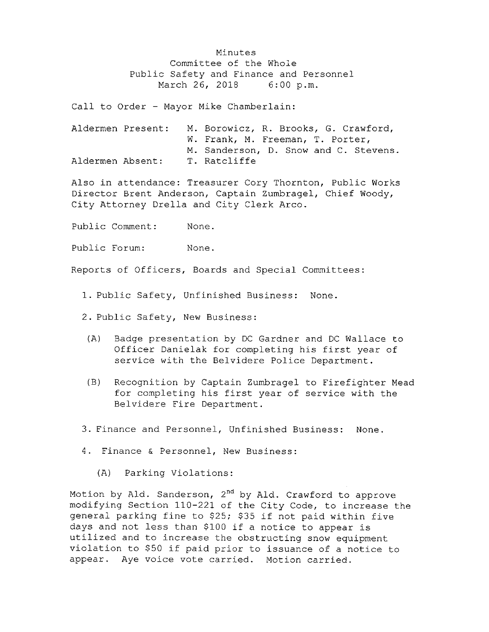Minutes Committee of the Whole Public Safety and Finance and Personnel<br>March 26, 2018 6:00 p.m. March 26, 2018

Call to Order - Mayor Mike Chamberlain:

|                  | Aldermen Present: | M. Borowicz, R. Brooks, G. Crawford,  |  |  |  |  |
|------------------|-------------------|---------------------------------------|--|--|--|--|
|                  |                   | W. Frank, M. Freeman, T. Porter,      |  |  |  |  |
|                  |                   | M. Sanderson, D. Snow and C. Stevens. |  |  |  |  |
| Aldermen Absent: |                   | T. Ratcliffe                          |  |  |  |  |

Also in attendance: Treasurer Cory Thornton, Public Works Director Brent Anderson, Captain Zumbragel, Chief Woody, City Attorney Drella and City Clerk Arco.

Public Comment: None.

Public Forum: None.

Reports of Officers, Boards and Special Committees :

- 1. Public Safety, Unfinished Business: None.
- 2. Public Safety, New Business:
- A) Badge presentation by DC Gardner and DC Wallace to Officer Danielak for completing his first year of service with the Belvidere Police Department .
- B) Recognition by Captain Zumbragel to Firefighter Mead for completing his first year of service with the Belvidere Fire Department .
- 3. Finance and Personnel, Unfinished Business: None.
- 4. Finance & Personnel, New Business:
	- A) Parking Violations :

Motion by Ald. Sanderson, 2<sup>nd</sup> by Ald. Crawford to approve modifying Section 110- <sup>221</sup> of the City Code, to increase the general parking fine to \$25; \$35 if not paid within five days and not less than \$100 if a notice to appear is utilized and to increase the obstructing snow equipment violation to \$<sup>50</sup> if paid prior to issuance of <sup>a</sup> notice to appear. Aye voice vote carried. Motion carried.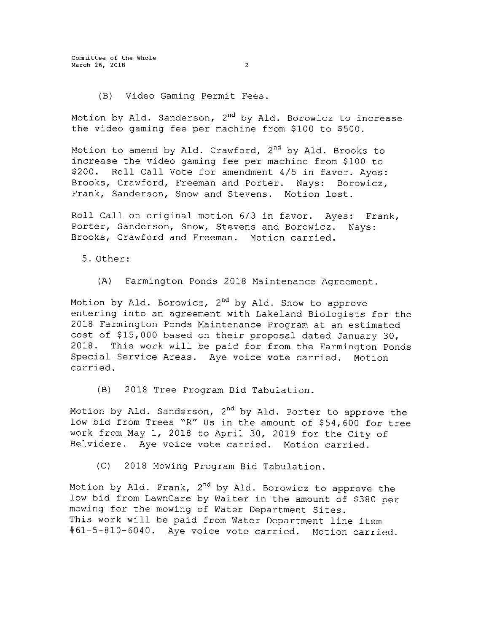Committee of the Whole March 26, 2018 2

B) Video Gaming Permit Fees .

Motion by Ald. Sanderson, 2<sup>nd</sup> by Ald. Borowicz to increas the video gaming fee per machine from \$100 to \$500.

Motion to amend by Ald. Crawford, 2<sup>nd</sup> by Ald. Brooks to increase the video gaming fee per machine from \$100 to \$200. Roll Call Vote for amendment 4/5 in favor. Ayes: Brooks, Crawford, Freeman and Porter. Nays: Borowicz, Frank, Sanderson, Snow and Stevens. Motion lost .

Roll Call on original motion 6/3 in favor. Ayes: Frank, Porter, Sanderson, Snow, Stevens and Borowicz. Nays: Brooks, Crawford and Freeman. Motion carried.

5 . Other:

A) Farmington Ponds 2018 Maintenance Agreement .

Motion by Ald. Borowicz, 2<sup>nd</sup> by Ald. Snow to approve entering into an agreement with Lakeland Biologists for the 2018 Farmington Ponds Maintenance Program at an estimated cost of \$15, 000 based on their proposal dated January 30, 2018 . This work will be paid for from the Farmington Ponds Special Service Areas. Aye voice vote carried. Motion carried.

B) 2018 Tree Program Bid Tabulation.

Motion by Ald. Sanderson, 2<sup>nd</sup> by Ald. Porter to approve the low bid from Trees "R" Us in the amount of \$54,600 for tree work from May 1, 2018 to April 30, <sup>2019</sup> for the City of Belvidere. Aye voice vote carried. Motion carried.

C) 2018 Mowing Program Bid Tabulation.

Motion by Ald. Frank, 2<sup>nd</sup> by Ald. Borowicz to approve the low bid from LawnCare by Walter in the amount of \$<sup>380</sup> per mowing for the mowing of Water Department Sites . This work will be paid from Water Department line item 61- 5- 810- 6040 . Aye voice vote carried. Motion carried.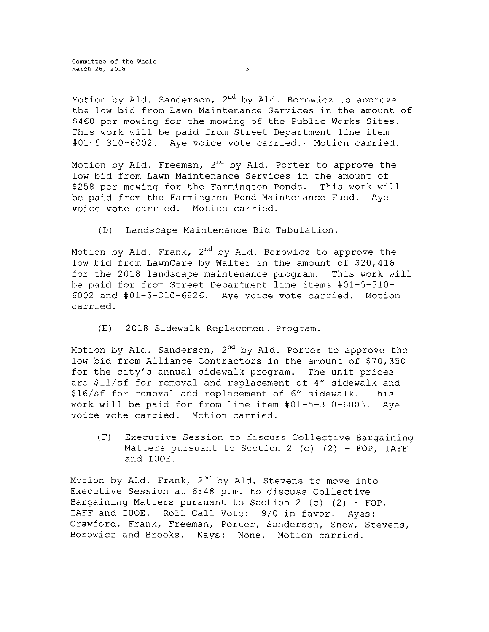Committee of the Whole March 26, 2018 3

Motion by Ald. Sanderson, 2<sup>nd</sup> by Ald. Borowicz to approve the low bid from Lawn Maintenance Services in the amount of <sup>460</sup> per mowing for the mowing of the Public Works Sites . This work will be paid from Street Department line item 01- 5- 310- 6002 . Aye voice vote carried. Motion carried.

Motion by Ald. Freeman, 2<sup>nd</sup> by Ald. Porter to approve the low bid from Lawn Maintenance Services in the amount of \$258 per mowing for the Farmington Ponds. This work will be paid from the Farmington Pond Maintenance Fund. Aye voice vote carried. Motion carried.

D) Landscape Maintenance Bid Tabulation.

Motion by Ald. Frank, 2<sup>nd</sup> by Ald. Borowicz to approve the low bid from LawnCare by Walter in the amount of \$20, 416 for the <sup>2018</sup> landscape maintenance program. This work will be paid for from Street Department line items #01-5-310-6002 and #01-5-310-6826. Aye voice vote carried. Motion carried.

E) 2018 Sidewalk Replacement Program.

Motion by Ald. Sanderson, 2<sup>nd</sup> by Ald. Porter to approve the low bid from Alliance Contractors in the amount of \$70, 350 for the city's annual sidewalk program. The unit prices are \$11/sf for removal and replacement of 4" sidewalk and \$16/ sf for removal and replacement of 6" sidewalk. This work will be paid for from line item #01-5-310-6003. Aye voice vote carried. Motion carried.

F) Executive Session to discuss Collective Bargaining Matters pursuant to Section 2 (c)  $(2)$  - FOP, IAFF and IUOE.

Motion by Ald. Frank, 2<sup>nd</sup> by Ald. Stevens to move into Executive Session at 6: 48 p. m. to discuss Collective Bargaining Matters pursuant to Section 2 (c)  $(2)$  - FOP, IAFF and IUOE. Roll Call Vote: 9/0 in favor. Ayes: Crawford, Frank, Freeman, Porter, Sanderson, Snow, Stevens, Borowicz and Brooks. Nays: None. Motion carried.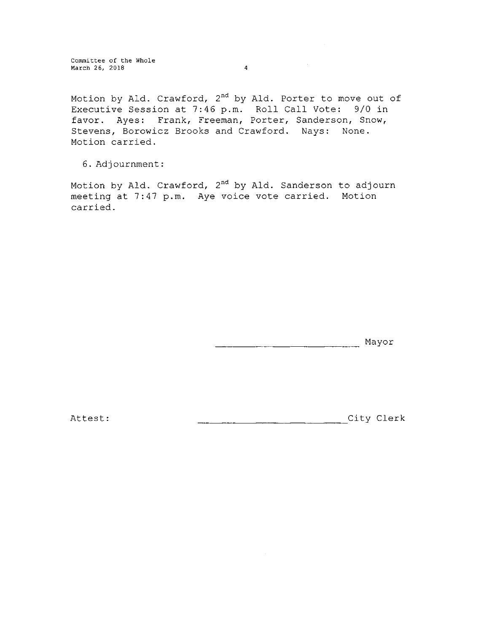Committee of the whole March 26, 2018 4

Motion by Ald. Crawford, 2<sup>nd</sup> by Ald. Porter to move out of Executive Session at 7:46 p.m. Roll Call Vote: 9/0 in favor. Ayes: Frank, Freeman, Porter, Sanderson, Snow, Stevens, Borowicz Brooks and Crawford. Nays: None. Motion carried.

6 . Adjournment :

Motion by Ald. Crawford, 2<sup>nd</sup> by Ald. Sanderson to adjourn meeting at 7:47 p.m. Aye voice vote carried. Motion carried.

Mayor

Attest: City Clerk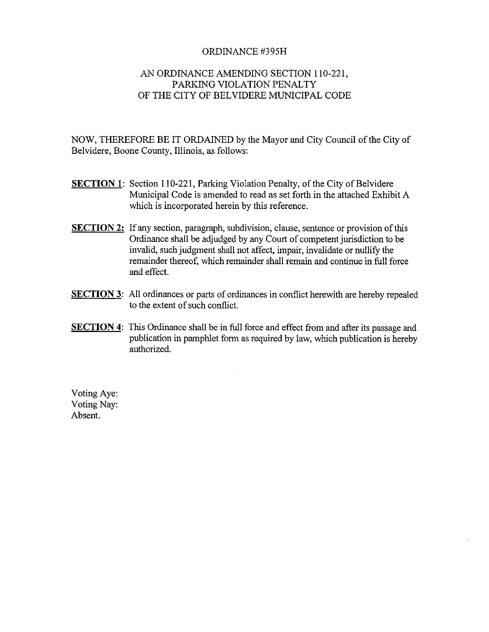#### ORDINANCE #395H

#### AN ORDINANCE AMENDING SECTION 110-221, PARKING VIOLATION PENALTY OF THE CITY OF BELVIDERE MUNICIPAL CODE

NOW, THEREFORE BE IT ORDAINED by the Mayor and City Council of the City of Belvidere, Boone County, Illinois, as follows:

- **SECTION 1:** Section 110-221, Parking Violation Penalty, of the City of Belvidere Municipal Code is amended to read as set forth in the attached Exhibit A which is incorporated herein by this reference.
- **SECTION 2:** If any section, paragraph, subdivision, clause, sentence or provision of this Ordinance shall be adjudged by any Court of competent jurisdiction to be invalid, such judgment shall not affect, impair, invalidate or nullify the remainder thereof, which remainder shall remain and continue in full force and effect.
- **SECTION 3:** All ordinances or parts of ordinances in conflict herewith are hereby repealed to the extent of such conflict.
- **SECTION 4:** This Ordinance shall be in full force and effect from and after its passage and publication in pamphlet form as required by law, which publication is hereby authorized.

Voting Aye: Voting Nay: Absent.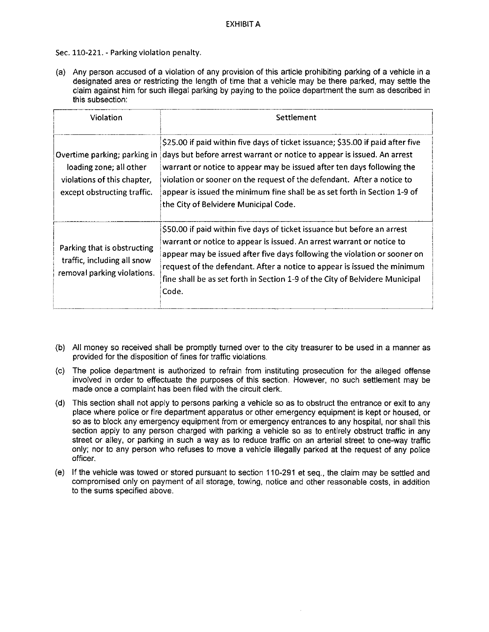Sec. 110-221.- Parking violation penalty.

a) Any person accused of a violation of any provision of this article prohibiting parking of a vehicle in a designated area or restricting the length of time that a vehicle may be there parked, may settle the claim against him for such illegal parking by paying to the police department the sum as described in this subsection:

| <b>Violation</b>                                                                                                      | Settlement                                                                                                                                                                                                                                                                                                                                                                                                                           |
|-----------------------------------------------------------------------------------------------------------------------|--------------------------------------------------------------------------------------------------------------------------------------------------------------------------------------------------------------------------------------------------------------------------------------------------------------------------------------------------------------------------------------------------------------------------------------|
| Overtime parking; parking in<br>loading zone; all other<br>violations of this chapter,<br>except obstructing traffic. | \$25.00 if paid within five days of ticket issuance; \$35.00 if paid after five<br>days but before arrest warrant or notice to appear is issued. An arrest<br>warrant or notice to appear may be issued after ten days following the<br>violation or sooner on the request of the defendant. After a notice to<br>appear is issued the minimum fine shall be as set forth in Section 1-9 of<br>the City of Belvidere Municipal Code. |
| Parking that is obstructing<br>traffic, including all snow<br>removal parking violations.                             | \$50.00 if paid within five days of ticket issuance but before an arrest<br>warrant or notice to appear is issued. An arrest warrant or notice to<br>appear may be issued after five days following the violation or sooner on<br>request of the defendant. After a notice to appear is issued the minimum<br>fine shall be as set forth in Section 1-9 of the City of Belvidere Municipal<br>Code.                                  |

- b) All money so received shall be promptly turned over to the city treasurer to be used in a manner as provided for the disposition of fines for traffic violations.
- c) The police department is authorized to refrain from instituting prosecution for the alleged offense involved in order to effectuate the purposes of this section. However, no such settlement may be made once a complaint has been filed with the circuit clerk.
- d) This section shall not apply to persons parking a vehicle so as to obstruct the entrance or exit to any place where police or fire department apparatus or other emergency equipment is kept or housed, or so as to block any emergency equipment from or emergency entrances to any hospital, nor shall this section apply to any person charged with parking a vehicle so as to entirely obstruct traffic in any street or alley, or parking in such a way as to reduce traffic on an arterial street to one-way traffic only; nor to any person who refuses to move a vehicle illegally parked at the request of any police officer.
- (e) If the vehicle was towed or stored pursuant to section 110-291 et seq., the claim may be settled and compromised only on payment of all storage, towing, notice and other reasonable costs, in addition to the sums specified above.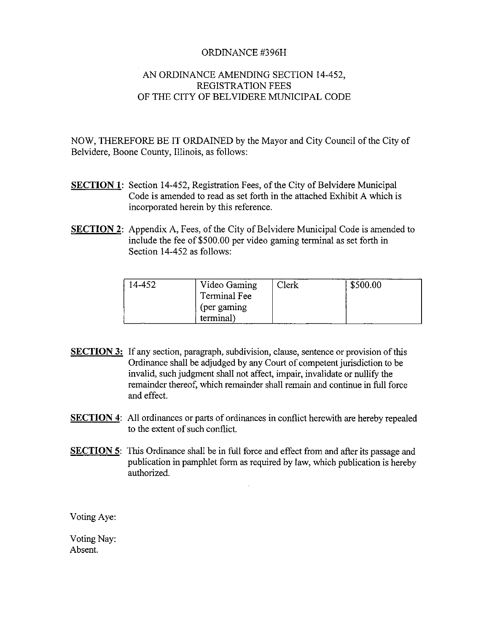#### ORDINANCE #396H

#### AN ORDINANCE AMENDING SECTION 14-452, REGISTRATION FEES OF THE CITY OF BELVIDERE MUNICIPAL CODE

NOW, THEREFORE BE IT ORDAINED by the Mayor and City Council of the City of Belvidere, Boone County, Illinois, as follows:

- SECTION 1: Section 14-452, Registration Fees, of the City of Belvidere Municipal Code is amended to read as set forth in the attached Exhibit A which is incorporated herein by this reference.
- SECTION 2: Appendix A, Fees, of the City of Belvidere Municipal Code is amended to include the fee of \$500.00 per video gaming terminal as set forth in Section 14-452 as follows:

| 14-452 | Video Gaming<br>Terminal Fee    | Clerk | \$500.00 |
|--------|---------------------------------|-------|----------|
|        | (per gaming<br>terminal)<br>--- |       |          |

- SECTION 3: If any section, paragraph, subdivision, clause, sentence or provision of this Ordinance shall be adjudged by any Court of competent jurisdiction to be invalid, such judgment shall not affect, impair, invalidate or nullify the remainder thereof, which remainder shall remain and continue in full force and effect.
- **SECTION 4:** All ordinances or parts of ordinances in conflict herewith are hereby repealed to the extent of such conflict.
- **SECTION 5:** This Ordinance shall be in full force and effect from and after its passage and publication in pamphlet form as required by law, which publication is hereby authorized.

Voting Aye:

Voting Nay: Absent.